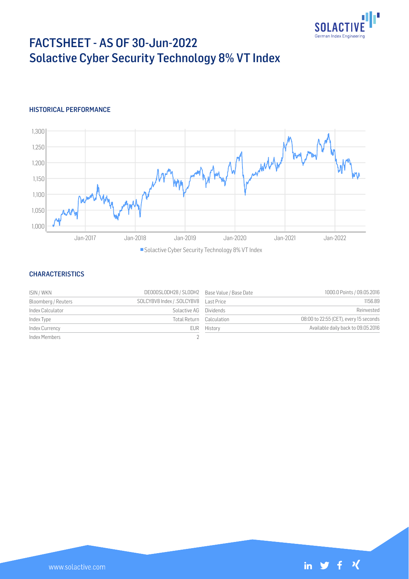

# FACTSHEET - AS OF 30-Jun-2022 Solactive Cyber Security Technology 8% VT Index

### HISTORICAL PERFORMANCE



■ Solactive Cyber Security Technology 8% VT Index

#### **CHARACTERISTICS**

| ISIN / WKN          | DE000SLODH28 / SLODH2 Base Value / Base Date |                          | 1000.0 Points / 09.05.2016             |
|---------------------|----------------------------------------------|--------------------------|----------------------------------------|
| Bloomberg / Reuters |                                              |                          | 1156.89                                |
| Index Calculator    | Solactive AG Dividends                       |                          | Reinvested                             |
| Index Type          |                                              | Total Return Calculation | 08:00 to 22:55 (CET), every 15 seconds |
| Index Currency      |                                              | EUR History              | Available daily back to 09.05.2016     |
| Index Members       |                                              |                          |                                        |

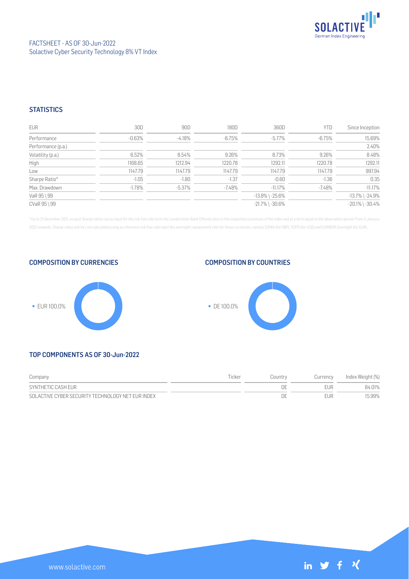

### **STATISTICS**

| <b>EUR</b>         | 30D      | 90D       | 180D     | 360D                  | YTD     | Since Inception       |
|--------------------|----------|-----------|----------|-----------------------|---------|-----------------------|
| Performance        | $-0.63%$ | $-4.18%$  | $-6.75%$ | $-5.77\%$             | -6.75%  | 15.69%                |
| Performance (p.a.) |          |           |          |                       |         | 2.40%                 |
| Volatility (p.a.)  | 6.52%    | 8.54%     | 9.26%    | 8.73%                 | 9.26%   | 8.48%                 |
| High               | 1168.65  | 1212.94   | 1220.78  | 1292.11               | 1220.78 | 1292.11               |
| Low                | 1147.79  | 1147.79   | 1147.79  | 1147.79               | 1147.79 | 997.94                |
| Sharpe Ratio*      | $-1.05$  | $-1.80$   | $-1.37$  | $-0.60$               | $-1.36$ | 0.35                  |
| Max. Drawdown      | $-1.78%$ | $-5.37\%$ | $-7.48%$ | $-11.17\%$            | -7.48%  | $-11.17%$             |
| VaR 95 \ 99        |          |           |          | $-13.8\%$ \ $-25.6\%$ |         | $-13.7\%$ \ $-24.9\%$ |
| CVaR 95 \ 99       |          |           |          | $-21.7\%$ \ $-30.6\%$ |         | $-20.1\%$ \ $-30.4\%$ |

\* Up to 31 December 2021, ex-post Sharpe ratios use as input for the risk free rate term the London Inter-Bank Offered rates in the respective currencies of the index and at a term equal to the observation period. From 3 J 2022 onwards, Sharpe ratios will be / are calculated using as reference risk free rate input the overnight replacement rate for these currencies, namely SONIA (for GBP), SOFR (for USD) and EURIBOR Overnight (for EUR).









## TOP COMPONENTS AS OF 30-Jun-2022

| Company                                           | Ticker | Countrv | Currency | Index Weight (%) |
|---------------------------------------------------|--------|---------|----------|------------------|
| SYNTHETIC CASH EUR                                |        |         |          | 84.01%           |
| SOLACTIVE CYBER SECURITY TECHNOLOGY NET EUR INDEX |        | DΕ      |          | 15.99%           |